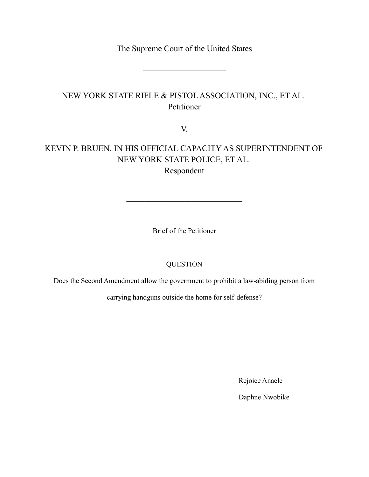The Supreme Court of the United States

 $\mathcal{L}_\text{max}$ 

## NEW YORK STATE RIFLE & PISTOL ASSOCIATION, INC., ET AL. Petitioner

V.

# KEVIN P. BRUEN, IN HIS OFFICIAL CAPACITY AS SUPERINTENDENT OF NEW YORK STATE POLICE, ET AL.

Respondent

 $\overline{\phantom{a}}$  , and the set of the set of the set of the set of the set of the set of the set of the set of the set of the set of the set of the set of the set of the set of the set of the set of the set of the set of the s

 $\mathcal{L}_\text{max}$  and  $\mathcal{L}_\text{max}$  and  $\mathcal{L}_\text{max}$  and  $\mathcal{L}_\text{max}$ 

Brief of the Petitioner

## QUESTION

Does the Second Amendment allow the government to prohibit a law-abiding person from

carrying handguns outside the home for self-defense?

Rejoice Anaele

Daphne Nwobike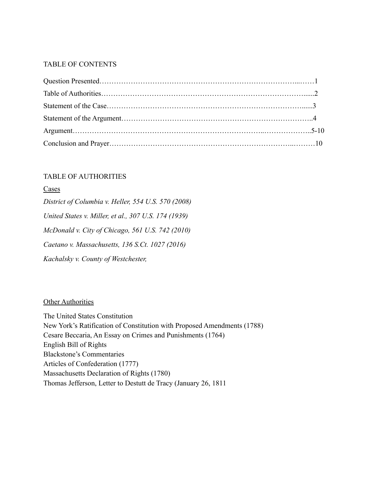### TABLE OF CONTENTS

### TABLE OF AUTHORITIES

| Cases                                                |
|------------------------------------------------------|
| District of Columbia v. Heller, 554 U.S. 570 (2008)  |
| United States v. Miller, et al., 307 U.S. 174 (1939) |
| McDonald v. City of Chicago, 561 U.S. 742 (2010)     |
| Caetano v. Massachusetts, 136 S.Ct. 1027 (2016)      |
| Kachalsky v. County of Westchester,                  |

### **Other Authorities**

The United States Constitution New York's Ratification of Constitution with Proposed Amendments (1788) Cesare Beccaria, An Essay on Crimes and Punishments (1764) English Bill of Rights Blackstone's Commentaries Articles of Confederation (1777) Massachusetts Declaration of Rights (1780) Thomas Jefferson, Letter to Destutt de Tracy (January 26, 1811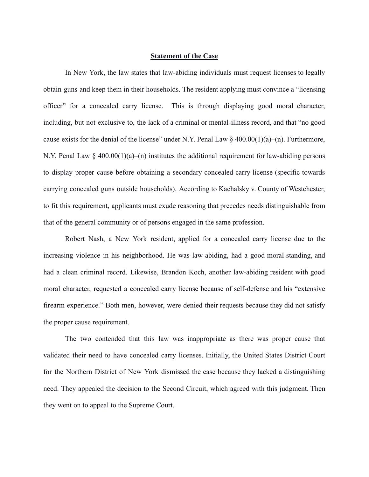#### **Statement of the Case**

In New York, the law states that law-abiding individuals must request licenses to legally obtain guns and keep them in their households. The resident applying must convince a "licensing officer" for a concealed carry license. This is through displaying good moral character, including, but not exclusive to, the lack of a criminal or mental-illness record, and that "no good cause exists for the denial of the license" under N.Y. Penal Law  $\S$  400.00(1)(a)–(n). Furthermore, N.Y. Penal Law § 400.00(1)(a)–(n) institutes the additional requirement for law-abiding persons to display proper cause before obtaining a secondary concealed carry license (specific towards carrying concealed guns outside households). According to Kachalsky v. County of Westchester, to fit this requirement, applicants must exude reasoning that precedes needs distinguishable from that of the general community or of persons engaged in the same profession.

Robert Nash, a New York resident, applied for a concealed carry license due to the increasing violence in his neighborhood. He was law-abiding, had a good moral standing, and had a clean criminal record. Likewise, Brandon Koch, another law-abiding resident with good moral character, requested a concealed carry license because of self-defense and his "extensive firearm experience." Both men, however, were denied their requests because they did not satisfy the proper cause requirement.

The two contended that this law was inappropriate as there was proper cause that validated their need to have concealed carry licenses. Initially, the United States District Court for the Northern District of New York dismissed the case because they lacked a distinguishing need. They appealed the decision to the Second Circuit, which agreed with this judgment. Then they went on to appeal to the Supreme Court.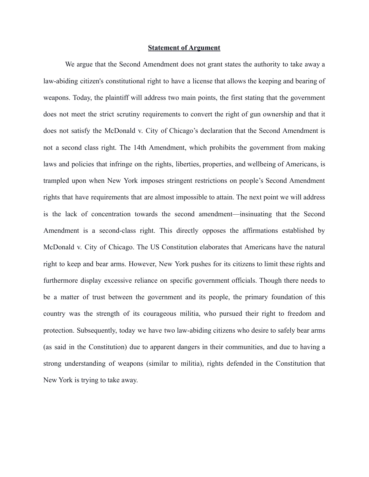#### **Statement of Argument**

We argue that the Second Amendment does not grant states the authority to take away a law-abiding citizen's constitutional right to have a license that allows the keeping and bearing of weapons. Today, the plaintiff will address two main points, the first stating that the government does not meet the strict scrutiny requirements to convert the right of gun ownership and that it does not satisfy the McDonald v. City of Chicago's declaration that the Second Amendment is not a second class right. The 14th Amendment, which prohibits the government from making laws and policies that infringe on the rights, liberties, properties, and wellbeing of Americans, is trampled upon when New York imposes stringent restrictions on people's Second Amendment rights that have requirements that are almost impossible to attain. The next point we will address is the lack of concentration towards the second amendment—insinuating that the Second Amendment is a second-class right. This directly opposes the affirmations established by McDonald v. City of Chicago. The US Constitution elaborates that Americans have the natural right to keep and bear arms. However, New York pushes for its citizens to limit these rights and furthermore display excessive reliance on specific government officials. Though there needs to be a matter of trust between the government and its people, the primary foundation of this country was the strength of its courageous militia, who pursued their right to freedom and protection. Subsequently, today we have two law-abiding citizens who desire to safely bear arms (as said in the Constitution) due to apparent dangers in their communities, and due to having a strong understanding of weapons (similar to militia), rights defended in the Constitution that New York is trying to take away.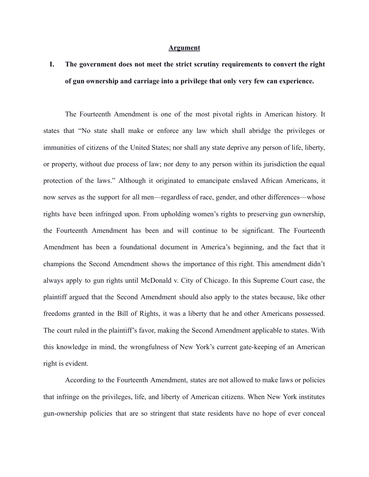#### **Argument**

# **I. The government does not meet the strict scrutiny requirements to convert the right of gun ownership and carriage into a privilege that only very few can experience.**

The Fourteenth Amendment is one of the most pivotal rights in American history. It states that "No state shall make or enforce any law which shall abridge the privileges or immunities of citizens of the United States; nor shall any state deprive any person of life, liberty, or property, without due process of law; nor deny to any person within its jurisdiction the equal protection of the laws." Although it originated to emancipate enslaved African Americans, it now serves as the support for all men—regardless of race, gender, and other differences—whose rights have been infringed upon. From upholding women's rights to preserving gun ownership, the Fourteenth Amendment has been and will continue to be significant. The Fourteenth Amendment has been a foundational document in America's beginning, and the fact that it champions the Second Amendment shows the importance of this right. This amendment didn't always apply to gun rights until McDonald v. City of Chicago. In this Supreme Court case, the plaintiff argued that the Second Amendment should also apply to the states because, like other freedoms granted in the Bill of Rights, it was a liberty that he and other Americans possessed. The court ruled in the plaintiff's favor, making the Second Amendment applicable to states. With this knowledge in mind, the wrongfulness of New York's current gate-keeping of an American right is evident.

According to the Fourteenth Amendment, states are not allowed to make laws or policies that infringe on the privileges, life, and liberty of American citizens. When New York institutes gun-ownership policies that are so stringent that state residents have no hope of ever conceal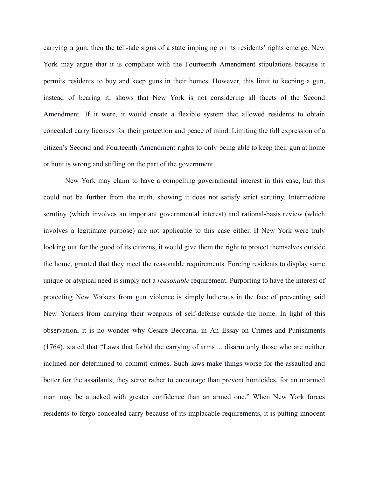carrying a gun, then the tell-tale signs of a state impinging on its residents' rights emerge. New York may argue that it is compliant with the Fourteenth Amendment stipulations because it permits residents to buy and keep guns in their homes. However, this limit to keeping a gun, instead of bearing it, shows that New York is not considering all facets of the Second Amendment. If it were, it would create a flexible system that allowed residents to obtain concealed carry licenses for their protection and peace of mind. Limiting the full expression of a citizen's Second and Fourteenth Amendment rights to only being able to keep their gun at home or hunt is wrong and stifling on the part of the government.

New York may claim to have a compelling governmental interest in this case, but this could not be further from the truth, showing it does not satisfy strict scrutiny. Intermediate scrutiny (which involves an important governmental interest) and rational-basis review (which involves a legitimate purpose) are not applicable to this case either. If New York were truly looking out for the good of its citizens, it would give them the right to protect themselves outside the home, granted that they meet the reasonable requirements. Forcing residents to display some unique or atypical need is simply not a *reasonable* requirement. Purporting to have the interest of protecting New Yorkers from gun violence is simply ludicrous in the face of preventing said New Yorkers from carrying their weapons of self-defense outside the home. In light of this observation, it is no wonder why Cesare Beccaria, in An Essay on Crimes and Punishments (1764), stated that "Laws that forbid the carrying of arms ... disarm only those who are neither inclined nor determined to commit crimes. Such laws make things worse for the assaulted and better for the assailants; they serve rather to encourage than prevent homicides, for an unarmed man may be attacked with greater confidence than an armed one." When New York forces residents to forgo concealed carry because of its implacable requirements, it is putting innocent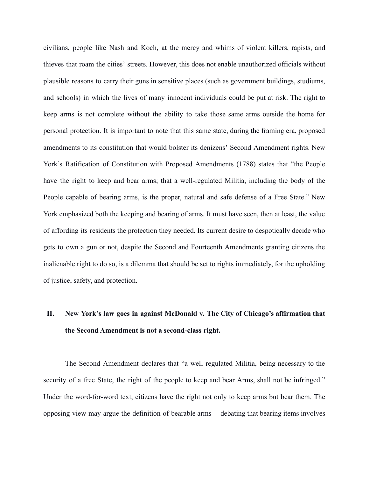civilians, people like Nash and Koch, at the mercy and whims of violent killers, rapists, and thieves that roam the cities' streets. However, this does not enable unauthorized officials without plausible reasons to carry their guns in sensitive places (such as government buildings, studiums, and schools) in which the lives of many innocent individuals could be put at risk. The right to keep arms is not complete without the ability to take those same arms outside the home for personal protection. It is important to note that this same state, during the framing era, proposed amendments to its constitution that would bolster its denizens' Second Amendment rights. New York's Ratification of Constitution with Proposed Amendments (1788) states that "the People have the right to keep and bear arms; that a well-regulated Militia, including the body of the People capable of bearing arms, is the proper, natural and safe defense of a Free State." New York emphasized both the keeping and bearing of arms. It must have seen, then at least, the value of affording its residents the protection they needed. Its current desire to despotically decide who gets to own a gun or not, despite the Second and Fourteenth Amendments granting citizens the inalienable right to do so, is a dilemma that should be set to rights immediately, for the upholding of justice, safety, and protection.

## **II. New York's law goes in against McDonald v. The City of Chicago's affirmation that the Second Amendment is not a second-class right.**

The Second Amendment declares that "a well regulated Militia, being necessary to the security of a free State, the right of the people to keep and bear Arms, shall not be infringed." Under the word-for-word text, citizens have the right not only to keep arms but bear them. The opposing view may argue the definition of bearable arms— debating that bearing items involves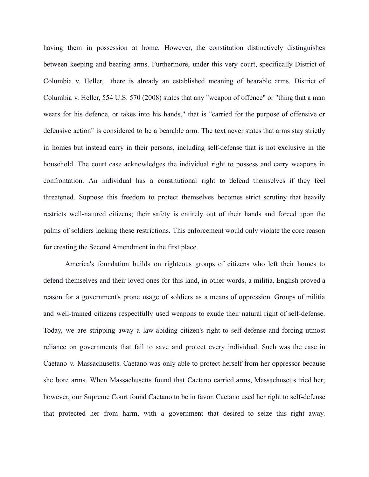having them in possession at home. However, the constitution distinctively distinguishes between keeping and bearing arms. Furthermore, under this very court, specifically District of Columbia v. Heller, there is already an established meaning of bearable arms. District of Columbia v. Heller, 554 U.S. 570 (2008) states that any "weapon of offence" or "thing that a man wears for his defence, or takes into his hands," that is "carried for the purpose of offensive or defensive action" is considered to be a bearable arm. The text never states that arms stay strictly in homes but instead carry in their persons, including self-defense that is not exclusive in the household. The court case acknowledges the individual right to possess and carry weapons in confrontation. An individual has a constitutional right to defend themselves if they feel threatened. Suppose this freedom to protect themselves becomes strict scrutiny that heavily restricts well-natured citizens; their safety is entirely out of their hands and forced upon the palms of soldiers lacking these restrictions. This enforcement would only violate the core reason for creating the Second Amendment in the first place.

America's foundation builds on righteous groups of citizens who left their homes to defend themselves and their loved ones for this land, in other words, a militia. English proved a reason for a government's prone usage of soldiers as a means of oppression. Groups of militia and well-trained citizens respectfully used weapons to exude their natural right of self-defense. Today, we are stripping away a law-abiding citizen's right to self-defense and forcing utmost reliance on governments that fail to save and protect every individual. Such was the case in Caetano v. Massachusetts. Caetano was only able to protect herself from her oppressor because she bore arms. When Massachusetts found that Caetano carried arms, Massachusetts tried her; however, our Supreme Court found Caetano to be in favor. Caetano used her right to self-defense that protected her from harm, with a government that desired to seize this right away.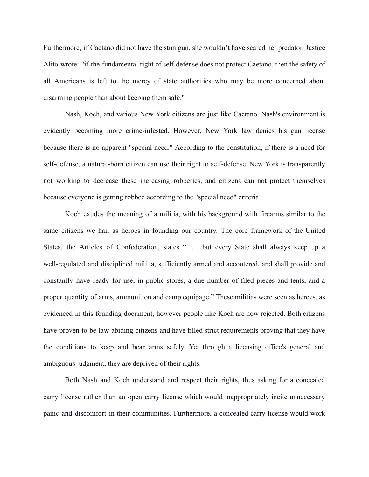Furthermore, if Caetano did not have the stun gun, she wouldn't have scared her predator. Justice Alito wrote: "if the fundamental right of self-defense does not protect Caetano, then the safety of all Americans is left to the mercy of state authorities who may be more concerned about disarming people than about keeping them safe."

Nash, Koch, and various New York citizens are just like Caetano. Nash's environment is evidently becoming more crime-infested. However, New York law denies his gun license because there is no apparent "special need." According to the constitution, if there is a need for self-defense, a natural-born citizen can use their right to self-defense. New York is transparently not working to decrease these increasing robberies, and citizens can not protect themselves because everyone is getting robbed according to the "special need" criteria.

Koch exudes the meaning of a militia, with his background with firearms similar to the same citizens we hail as heroes in founding our country. The core framework of the United States, the Articles of Confederation, states ". . . but every State shall always keep up a well-regulated and disciplined militia, sufficiently armed and accoutered, and shall provide and constantly have ready for use, in public stores, a due number of filed pieces and tents, and a proper quantity of arms, ammunition and camp equipage." These militias were seen as heroes, as evidenced in this founding document, however people like Koch are now rejected. Both citizens have proven to be law-abiding citizens and have filled strict requirements proving that they have the conditions to keep and bear arms safely. Yet through a licensing office's general and ambiguous judgment, they are deprived of their rights.

Both Nash and Koch understand and respect their rights, thus asking for a concealed carry license rather than an open carry license which would inappropriately incite unnecessary panic and discomfort in their communities. Furthermore, a concealed carry license would work